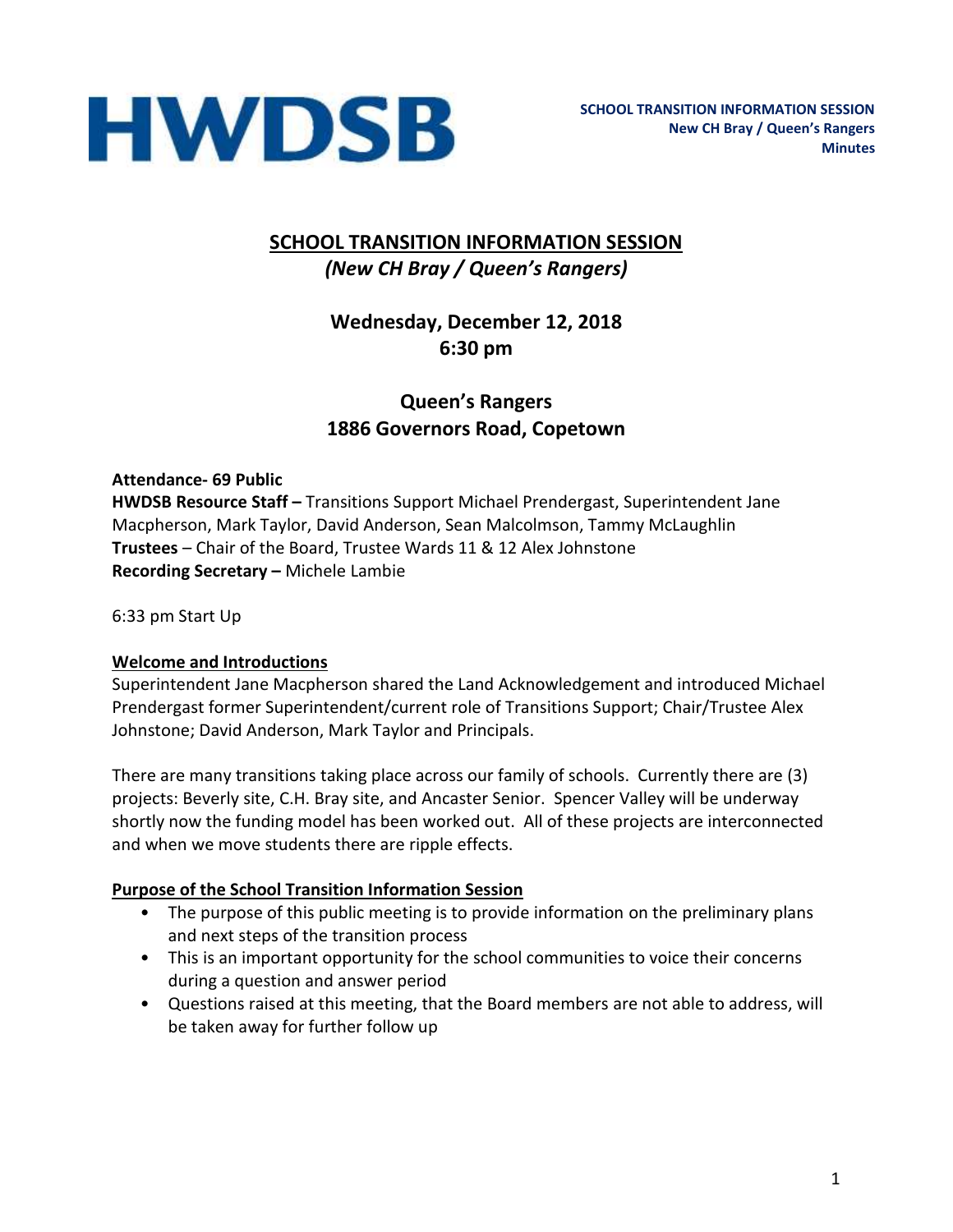

## **SCHOOL TRANSITION INFORMATION SESSION** *(New CH Bray / Queen's Rangers)*

## **Wednesday, December 12, 2018 6:30 pm**

## **Queen's Rangers 1886 Governors Road, Copetown**

#### **Attendance- 69 Public**

**HWDSB Resource Staff –** Transitions Support Michael Prendergast, Superintendent Jane Macpherson, Mark Taylor, David Anderson, Sean Malcolmson, Tammy McLaughlin **Trustees** – Chair of the Board, Trustee Wards 11 & 12 Alex Johnstone **Recording Secretary –** Michele Lambie

6:33 pm Start Up

#### **Welcome and Introductions**

Superintendent Jane Macpherson shared the Land Acknowledgement and introduced Michael Prendergast former Superintendent/current role of Transitions Support; Chair/Trustee Alex Johnstone; David Anderson, Mark Taylor and Principals.

There are many transitions taking place across our family of schools. Currently there are (3) projects: Beverly site, C.H. Bray site, and Ancaster Senior. Spencer Valley will be underway shortly now the funding model has been worked out. All of these projects are interconnected and when we move students there are ripple effects.

#### **Purpose of the School Transition Information Session**

- The purpose of this public meeting is to provide information on the preliminary plans and next steps of the transition process
- This is an important opportunity for the school communities to voice their concerns during a question and answer period
- Questions raised at this meeting, that the Board members are not able to address, will be taken away for further follow up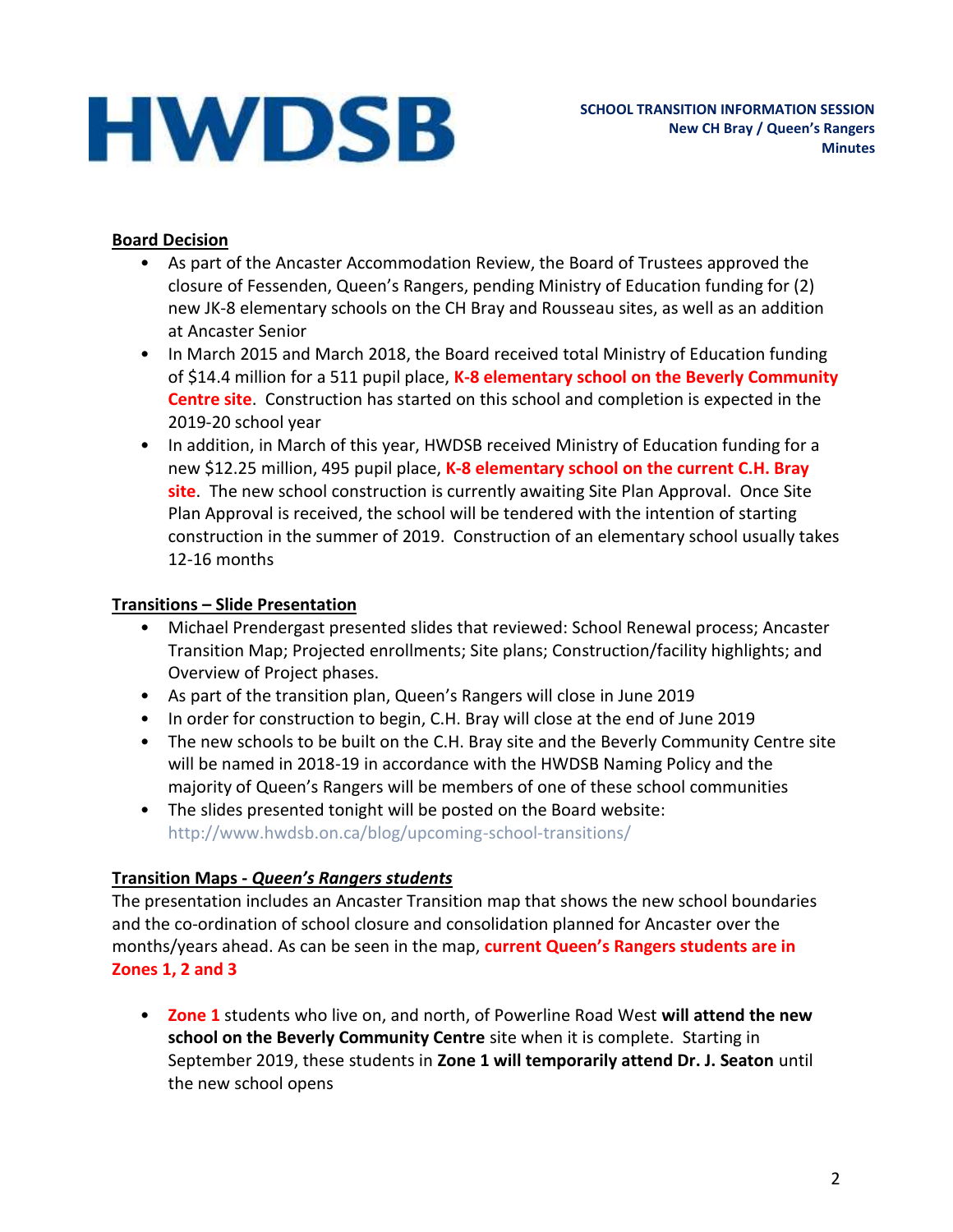#### **Board Decision**

- As part of the Ancaster Accommodation Review, the Board of Trustees approved the closure of Fessenden, Queen's Rangers, pending Ministry of Education funding for (2) new JK-8 elementary schools on the CH Bray and Rousseau sites, as well as an addition at Ancaster Senior
- In March 2015 and March 2018, the Board received total Ministry of Education funding of \$14.4 million for a 511 pupil place, **K-8 elementary school on the Beverly Community Centre site**. Construction has started on this school and completion is expected in the 2019-20 school year
- In addition, in March of this year, HWDSB received Ministry of Education funding for a new \$12.25 million, 495 pupil place, **K-8 elementary school on the current C.H. Bray site**. The new school construction is currently awaiting Site Plan Approval. Once Site Plan Approval is received, the school will be tendered with the intention of starting construction in the summer of 2019. Construction of an elementary school usually takes 12-16 months

#### **Transitions – Slide Presentation**

- Michael Prendergast presented slides that reviewed: School Renewal process; Ancaster Transition Map; Projected enrollments; Site plans; Construction/facility highlights; and Overview of Project phases.
- As part of the transition plan, Queen's Rangers will close in June 2019
- In order for construction to begin, C.H. Bray will close at the end of June 2019
- The new schools to be built on the C.H. Bray site and the Beverly Community Centre site will be named in 2018-19 in accordance with the HWDSB Naming Policy and the majority of Queen's Rangers will be members of one of these school communities
- The slides presented tonight will be posted on the Board website: http://www.hwdsb.on.ca/blog/upcoming-school-transitions/

#### **Transition Maps -** *Queen's Rangers students*

The presentation includes an Ancaster Transition map that shows the new school boundaries and the co-ordination of school closure and consolidation planned for Ancaster over the months/years ahead. As can be seen in the map, **current Queen's Rangers students are in Zones 1, 2 and 3**

• **Zone 1** students who live on, and north, of Powerline Road West **will attend the new school on the Beverly Community Centre** site when it is complete. Starting in September 2019, these students in **Zone 1 will temporarily attend Dr. J. Seaton** until the new school opens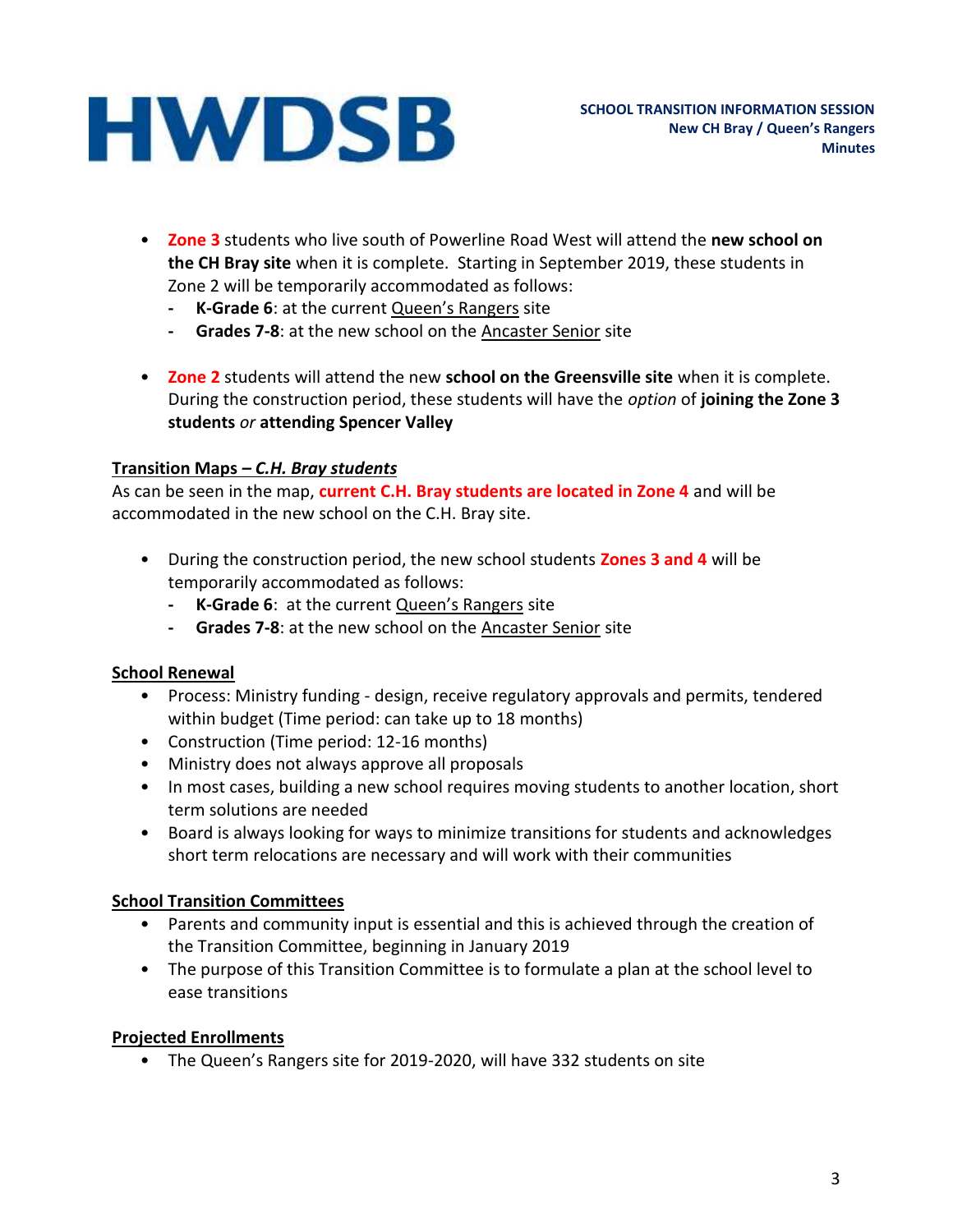- **Zone 3** students who live south of Powerline Road West will attend the **new school on the CH Bray site** when it is complete. Starting in September 2019, these students in Zone 2 will be temporarily accommodated as follows:
	- **- K-Grade 6**: at the current Queen's Rangers site
	- **- Grades 7-8**: at the new school on the Ancaster Senior site
- **Zone 2** students will attend the new **school on the Greensville site** when it is complete. During the construction period, these students will have the *option* of **joining the Zone 3 students** *or* **attending Spencer Valley**

#### **Transition Maps** *– C.H. Bray students*

As can be seen in the map, **current C.H. Bray students are located in Zone 4** and will be accommodated in the new school on the C.H. Bray site.

- During the construction period, the new school students **Zones 3 and 4** will be temporarily accommodated as follows:
	- **- K-Grade 6**: at the current Queen's Rangers site
	- **- Grades 7-8**: at the new school on the Ancaster Senior site

#### **School Renewal**

- Process: Ministry funding design, receive regulatory approvals and permits, tendered within budget (Time period: can take up to 18 months)
- Construction (Time period: 12-16 months)
- Ministry does not always approve all proposals
- In most cases, building a new school requires moving students to another location, short term solutions are needed
- Board is always looking for ways to minimize transitions for students and acknowledges short term relocations are necessary and will work with their communities

#### **School Transition Committees**

- Parents and community input is essential and this is achieved through the creation of the Transition Committee, beginning in January 2019
- The purpose of this Transition Committee is to formulate a plan at the school level to ease transitions

#### **Projected Enrollments**

• The Queen's Rangers site for 2019-2020, will have 332 students on site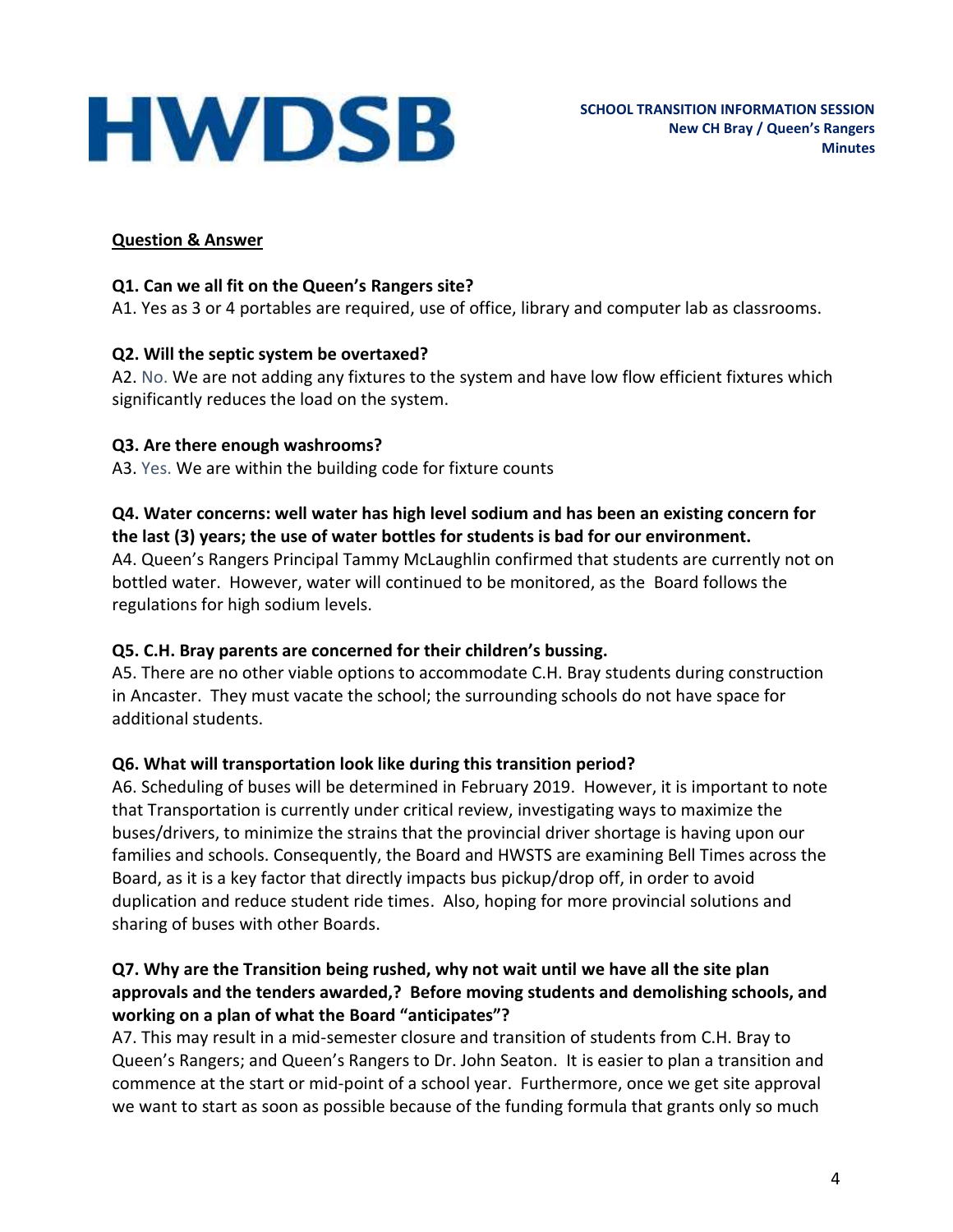#### **Question & Answer**

#### **Q1. Can we all fit on the Queen's Rangers site?**

A1. Yes as 3 or 4 portables are required, use of office, library and computer lab as classrooms.

#### **Q2. Will the septic system be overtaxed?**

A2. No. We are not adding any fixtures to the system and have low flow efficient fixtures which significantly reduces the load on the system.

#### **Q3. Are there enough washrooms?**

A3. Yes. We are within the building code for fixture counts

#### **Q4. Water concerns: well water has high level sodium and has been an existing concern for the last (3) years; the use of water bottles for students is bad for our environment.**

A4. Queen's Rangers Principal Tammy McLaughlin confirmed that students are currently not on bottled water. However, water will continued to be monitored, as the Board follows the regulations for high sodium levels.

#### **Q5. C.H. Bray parents are concerned for their children's bussing.**

A5. There are no other viable options to accommodate C.H. Bray students during construction in Ancaster. They must vacate the school; the surrounding schools do not have space for additional students.

#### **Q6. What will transportation look like during this transition period?**

A6. Scheduling of buses will be determined in February 2019. However, it is important to note that Transportation is currently under critical review, investigating ways to maximize the buses/drivers, to minimize the strains that the provincial driver shortage is having upon our families and schools. Consequently, the Board and HWSTS are examining Bell Times across the Board, as it is a key factor that directly impacts bus pickup/drop off, in order to avoid duplication and reduce student ride times. Also, hoping for more provincial solutions and sharing of buses with other Boards.

#### **Q7. Why are the Transition being rushed, why not wait until we have all the site plan approvals and the tenders awarded,? Before moving students and demolishing schools, and working on a plan of what the Board "anticipates"?**

A7. This may result in a mid-semester closure and transition of students from C.H. Bray to Queen's Rangers; and Queen's Rangers to Dr. John Seaton. It is easier to plan a transition and commence at the start or mid-point of a school year. Furthermore, once we get site approval we want to start as soon as possible because of the funding formula that grants only so much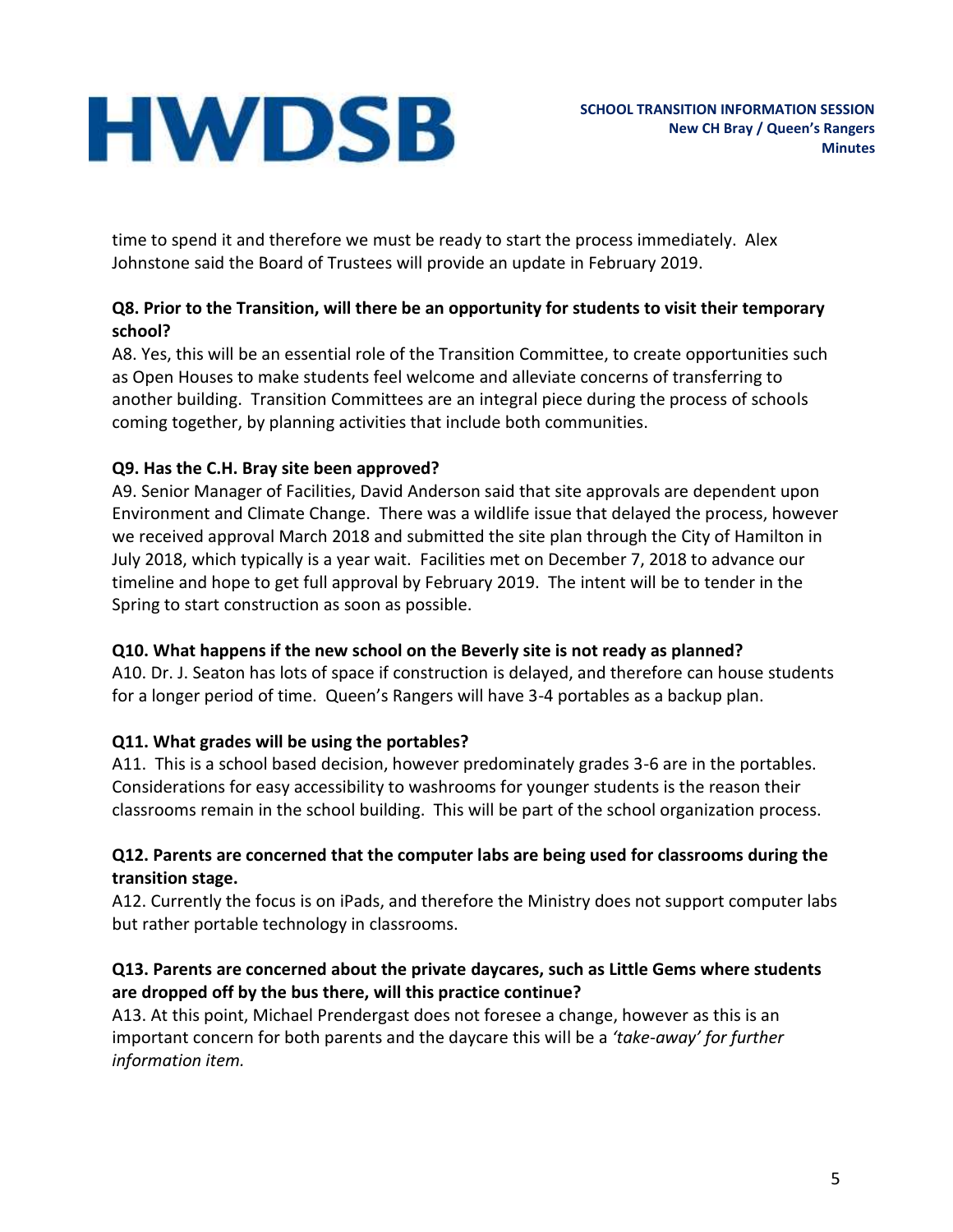time to spend it and therefore we must be ready to start the process immediately. Alex Johnstone said the Board of Trustees will provide an update in February 2019.

#### **Q8. Prior to the Transition, will there be an opportunity for students to visit their temporary school?**

A8. Yes, this will be an essential role of the Transition Committee, to create opportunities such as Open Houses to make students feel welcome and alleviate concerns of transferring to another building. Transition Committees are an integral piece during the process of schools coming together, by planning activities that include both communities.

#### **Q9. Has the C.H. Bray site been approved?**

A9. Senior Manager of Facilities, David Anderson said that site approvals are dependent upon Environment and Climate Change. There was a wildlife issue that delayed the process, however we received approval March 2018 and submitted the site plan through the City of Hamilton in July 2018, which typically is a year wait. Facilities met on December 7, 2018 to advance our timeline and hope to get full approval by February 2019. The intent will be to tender in the Spring to start construction as soon as possible.

#### **Q10. What happens if the new school on the Beverly site is not ready as planned?**

A10. Dr. J. Seaton has lots of space if construction is delayed, and therefore can house students for a longer period of time. Queen's Rangers will have 3-4 portables as a backup plan.

## **Q11. What grades will be using the portables?**

A11. This is a school based decision, however predominately grades 3-6 are in the portables. Considerations for easy accessibility to washrooms for younger students is the reason their classrooms remain in the school building. This will be part of the school organization process.

#### **Q12. Parents are concerned that the computer labs are being used for classrooms during the transition stage.**

A12. Currently the focus is on iPads, and therefore the Ministry does not support computer labs but rather portable technology in classrooms.

#### **Q13. Parents are concerned about the private daycares, such as Little Gems where students are dropped off by the bus there, will this practice continue?**

A13. At this point, Michael Prendergast does not foresee a change, however as this is an important concern for both parents and the daycare this will be a *'take-away' for further information item.*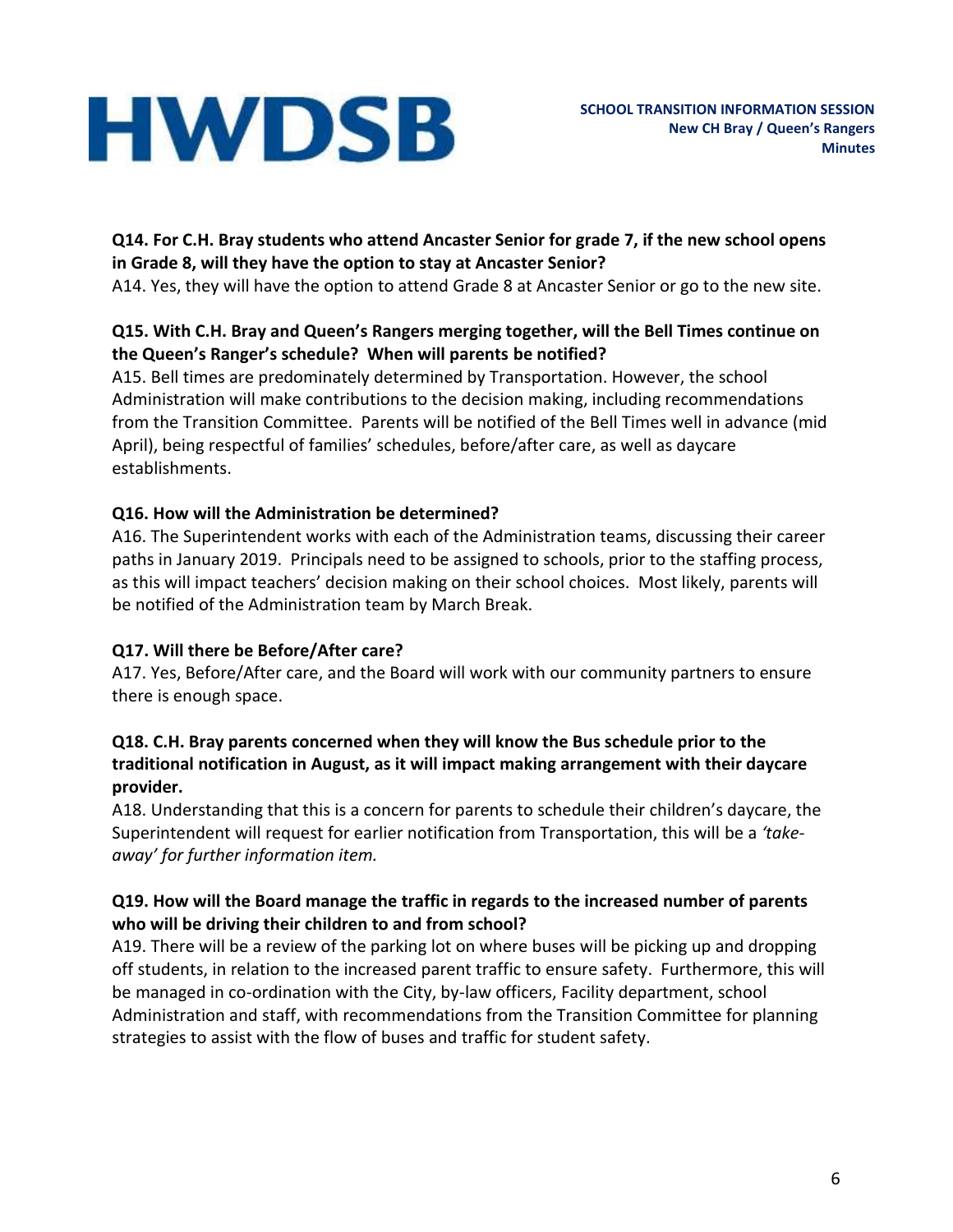#### **Q14. For C.H. Bray students who attend Ancaster Senior for grade 7, if the new school opens in Grade 8, will they have the option to stay at Ancaster Senior?**

A14. Yes, they will have the option to attend Grade 8 at Ancaster Senior or go to the new site.

#### **Q15. With C.H. Bray and Queen's Rangers merging together, will the Bell Times continue on the Queen's Ranger's schedule? When will parents be notified?**

A15. Bell times are predominately determined by Transportation. However, the school Administration will make contributions to the decision making, including recommendations from the Transition Committee. Parents will be notified of the Bell Times well in advance (mid April), being respectful of families' schedules, before/after care, as well as daycare establishments.

#### **Q16. How will the Administration be determined?**

A16. The Superintendent works with each of the Administration teams, discussing their career paths in January 2019. Principals need to be assigned to schools, prior to the staffing process, as this will impact teachers' decision making on their school choices. Most likely, parents will be notified of the Administration team by March Break.

#### **Q17. Will there be Before/After care?**

A17. Yes, Before/After care, and the Board will work with our community partners to ensure there is enough space.

#### **Q18. C.H. Bray parents concerned when they will know the Bus schedule prior to the traditional notification in August, as it will impact making arrangement with their daycare provider.**

A18. Understanding that this is a concern for parents to schedule their children's daycare, the Superintendent will request for earlier notification from Transportation, this will be a *'takeaway' for further information item.*

#### **Q19. How will the Board manage the traffic in regards to the increased number of parents who will be driving their children to and from school?**

A19. There will be a review of the parking lot on where buses will be picking up and dropping off students, in relation to the increased parent traffic to ensure safety. Furthermore, this will be managed in co-ordination with the City, by-law officers, Facility department, school Administration and staff, with recommendations from the Transition Committee for planning strategies to assist with the flow of buses and traffic for student safety.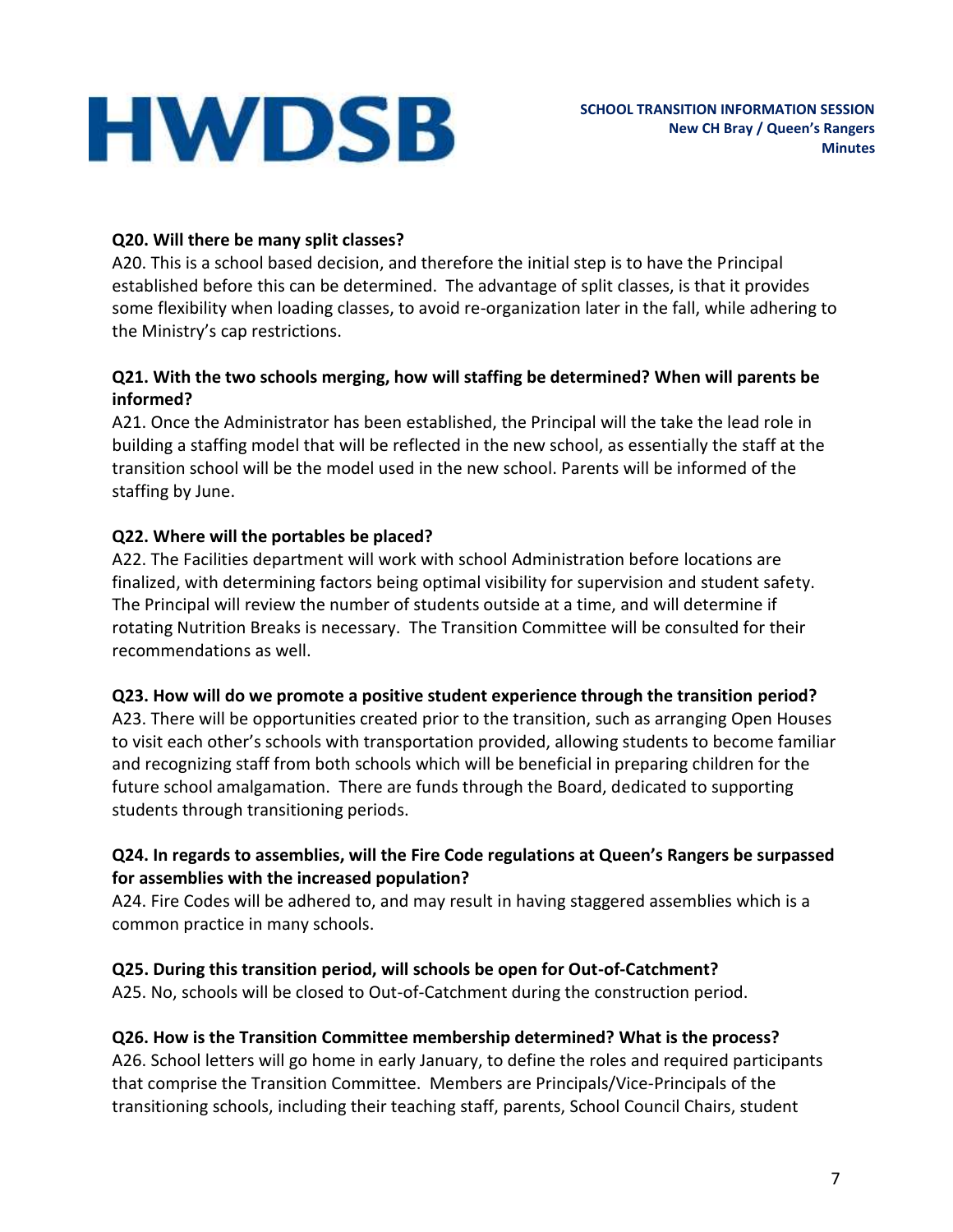#### **Q20. Will there be many split classes?**

A20. This is a school based decision, and therefore the initial step is to have the Principal established before this can be determined. The advantage of split classes, is that it provides some flexibility when loading classes, to avoid re-organization later in the fall, while adhering to the Ministry's cap restrictions.

### **Q21. With the two schools merging, how will staffing be determined? When will parents be informed?**

A21. Once the Administrator has been established, the Principal will the take the lead role in building a staffing model that will be reflected in the new school, as essentially the staff at the transition school will be the model used in the new school. Parents will be informed of the staffing by June.

#### **Q22. Where will the portables be placed?**

A22. The Facilities department will work with school Administration before locations are finalized, with determining factors being optimal visibility for supervision and student safety. The Principal will review the number of students outside at a time, and will determine if rotating Nutrition Breaks is necessary. The Transition Committee will be consulted for their recommendations as well.

#### **Q23. How will do we promote a positive student experience through the transition period?**

A23. There will be opportunities created prior to the transition, such as arranging Open Houses to visit each other's schools with transportation provided, allowing students to become familiar and recognizing staff from both schools which will be beneficial in preparing children for the future school amalgamation. There are funds through the Board, dedicated to supporting students through transitioning periods.

#### **Q24. In regards to assemblies, will the Fire Code regulations at Queen's Rangers be surpassed for assemblies with the increased population?**

A24. Fire Codes will be adhered to, and may result in having staggered assemblies which is a common practice in many schools.

#### **Q25. During this transition period, will schools be open for Out-of-Catchment?**

A25. No, schools will be closed to Out-of-Catchment during the construction period.

## **Q26. How is the Transition Committee membership determined? What is the process?**

A26. School letters will go home in early January, to define the roles and required participants that comprise the Transition Committee. Members are Principals/Vice-Principals of the transitioning schools, including their teaching staff, parents, School Council Chairs, student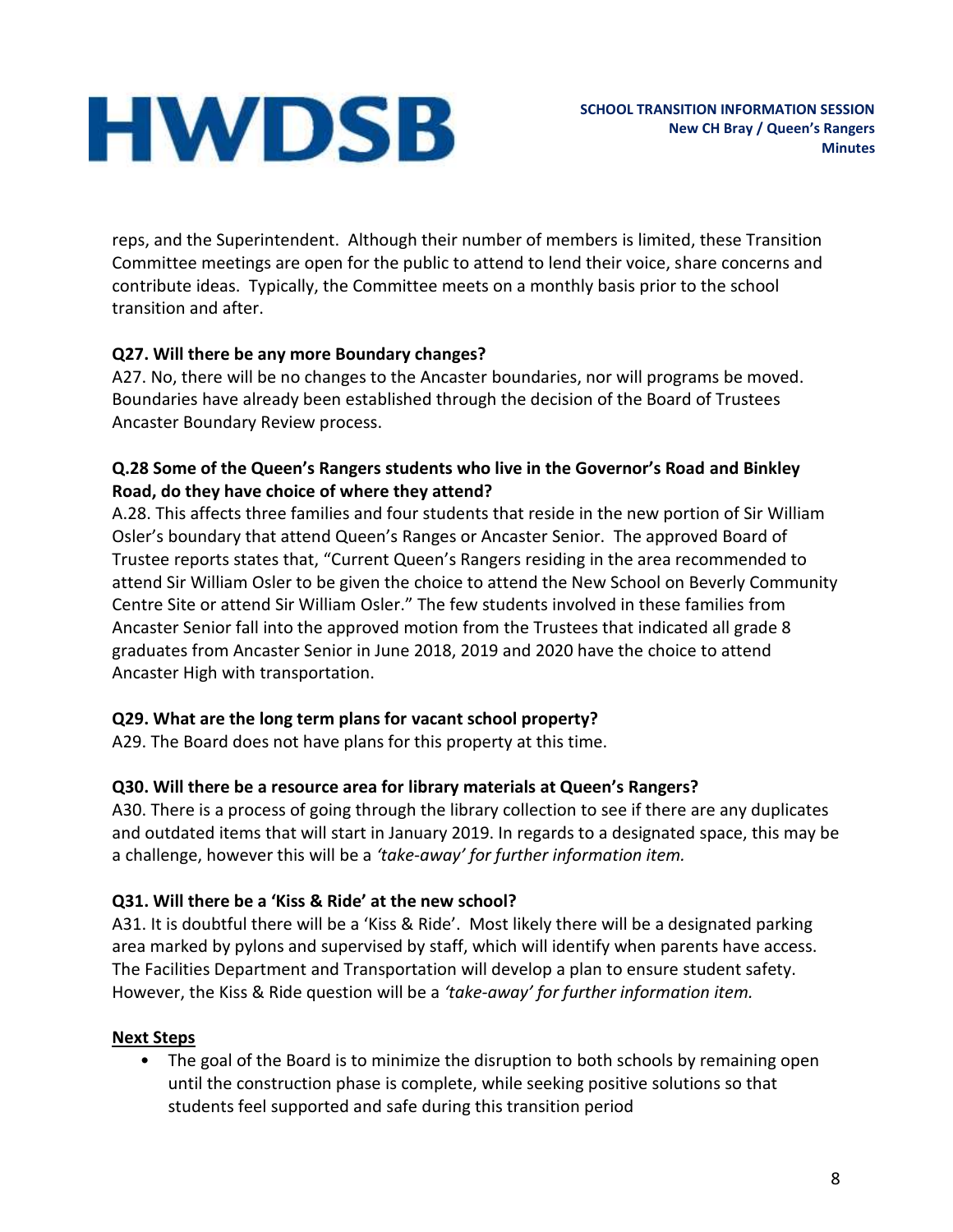reps, and the Superintendent. Although their number of members is limited, these Transition Committee meetings are open for the public to attend to lend their voice, share concerns and contribute ideas. Typically, the Committee meets on a monthly basis prior to the school transition and after.

## **Q27. Will there be any more Boundary changes?**

A27. No, there will be no changes to the Ancaster boundaries, nor will programs be moved. Boundaries have already been established through the decision of the Board of Trustees Ancaster Boundary Review process.

#### **Q.28 Some of the Queen's Rangers students who live in the Governor's Road and Binkley Road, do they have choice of where they attend?**

A.28. This affects three families and four students that reside in the new portion of Sir William Osler's boundary that attend Queen's Ranges or Ancaster Senior. The approved Board of Trustee reports states that, "Current Queen's Rangers residing in the area recommended to attend Sir William Osler to be given the choice to attend the New School on Beverly Community Centre Site or attend Sir William Osler." The few students involved in these families from Ancaster Senior fall into the approved motion from the Trustees that indicated all grade 8 graduates from Ancaster Senior in June 2018, 2019 and 2020 have the choice to attend Ancaster High with transportation.

## **Q29. What are the long term plans for vacant school property?**

A29. The Board does not have plans for this property at this time.

#### **Q30. Will there be a resource area for library materials at Queen's Rangers?**

A30. There is a process of going through the library collection to see if there are any duplicates and outdated items that will start in January 2019. In regards to a designated space, this may be a challenge, however this will be a *'take-away' for further information item.*

#### **Q31. Will there be a 'Kiss & Ride' at the new school?**

A31. It is doubtful there will be a 'Kiss & Ride'. Most likely there will be a designated parking area marked by pylons and supervised by staff, which will identify when parents have access. The Facilities Department and Transportation will develop a plan to ensure student safety. However, the Kiss & Ride question will be a *'take-away' for further information item.*

#### **Next Steps**

• The goal of the Board is to minimize the disruption to both schools by remaining open until the construction phase is complete, while seeking positive solutions so that students feel supported and safe during this transition period